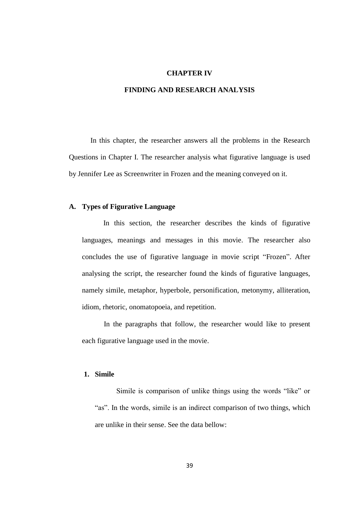### **CHAPTER IV**

## **FINDING AND RESEARCH ANALYSIS**

In this chapter, the researcher answers all the problems in the Research Questions in Chapter I. The researcher analysis what figurative language is used by Jennifer Lee as Screenwriter in Frozen and the meaning conveyed on it.

### **A. Types of Figurative Language**

In this section, the researcher describes the kinds of figurative languages, meanings and messages in this movie. The researcher also concludes the use of figurative language in movie script "Frozen". After analysing the script, the researcher found the kinds of figurative languages, namely simile, metaphor, hyperbole, personification, metonymy, alliteration, idiom, rhetoric, onomatopoeia, and repetition.

In the paragraphs that follow, the researcher would like to present each figurative language used in the movie.

#### **1. Simile**

Simile is comparison of unlike things using the words "like" or "as". In the words, simile is an indirect comparison of two things, which are unlike in their sense. See the data bellow: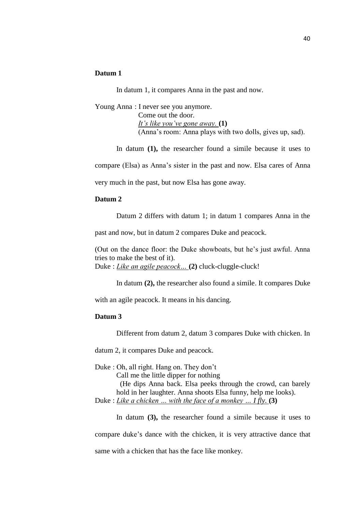In datum 1, it compares Anna in the past and now.

Young Anna : I never see you anymore. Come out the door. *It's like you've gone away.* **(1)** (Anna's room: Anna plays with two dolls, gives up, sad).

In datum **(1),** the researcher found a simile because it uses to

compare (Elsa) as Anna's sister in the past and now. Elsa cares of Anna

very much in the past, but now Elsa has gone away.

## **Datum 2**

Datum 2 differs with datum 1; in datum 1 compares Anna in the

past and now, but in datum 2 compares Duke and peacock.

(Out on the dance floor: the Duke showboats, but he's just awful. Anna tries to make the best of it). Duke : *Like an agile peacock…* **(2)** cluck-cluggle-cluck!

In datum **(2),** the researcher also found a simile. It compares Duke

with an agile peacock. It means in his dancing.

### **Datum 3**

Different from datum 2, datum 3 compares Duke with chicken. In

datum 2, it compares Duke and peacock.

Duke : Oh, all right. Hang on. They don't Call me the little dipper for nothing (He dips Anna back. Elsa peeks through the crowd, can barely hold in her laughter. Anna shoots Elsa funny, help me looks). Duke : *Like a chicken … with the face of a monkey … I fly.* **(3)**

In datum **(3),** the researcher found a simile because it uses to compare duke's dance with the chicken, it is very attractive dance that same with a chicken that has the face like monkey.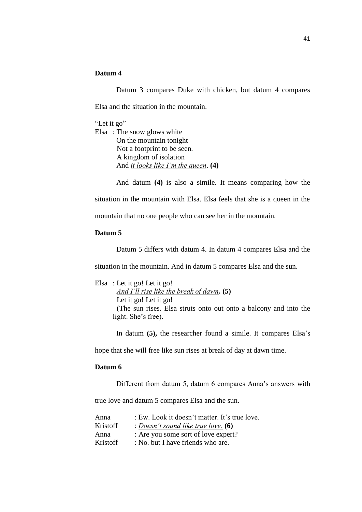Datum 3 compares Duke with chicken, but datum 4 compares Elsa and the situation in the mountain.

"Let it go" Elsa : The snow glows white On the mountain tonight Not a footprint to be seen. A kingdom of isolation And *it looks like I'm the queen*. **(4)**

And datum **(4)** is also a simile. It means comparing how the situation in the mountain with Elsa. Elsa feels that she is a queen in the mountain that no one people who can see her in the mountain.

### **Datum 5**

Datum 5 differs with datum 4. In datum 4 compares Elsa and the

situation in the mountain. And in datum 5 compares Elsa and the sun.

Elsa : Let it go! Let it go! *And I'll rise like the break of dawn***. (5)** Let it go! Let it go! (The sun rises. Elsa struts onto out onto a balcony and into the light. She's free).

In datum **(5),** the researcher found a simile. It compares Elsa's

hope that she will free like sun rises at break of day at dawn time.

#### **Datum 6**

Different from datum 5, datum 6 compares Anna's answers with

true love and datum 5 compares Elsa and the sun.

| Anna     | : Ew. Look it doesn't matter. It's true love. |
|----------|-----------------------------------------------|
| Kristoff | : Doesn't sound like true love. $(6)$         |
| Anna     | : Are you some sort of love expert?           |
| Kristoff | : No. but I have friends who are.             |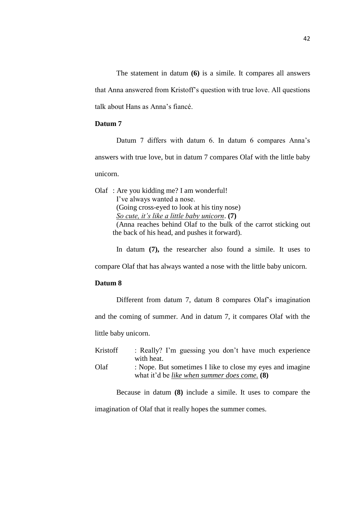The statement in datum **(6)** is a simile. It compares all answers that Anna answered from Kristoff's question with true love. All questions talk about Hans as Anna's fiancé.

## **Datum 7**

Datum 7 differs with datum 6. In datum 6 compares Anna's answers with true love, but in datum 7 compares Olaf with the little baby unicorn.

Olaf : Are you kidding me? I am wonderful! I've always wanted a nose. (Going cross-eyed to look at his tiny nose) *So cute, it's like a little baby unicorn*. **(7)** (Anna reaches behind Olaf to the bulk of the carrot sticking out the back of his head, and pushes it forward).

In datum **(7),** the researcher also found a simile. It uses to

compare Olaf that has always wanted a nose with the little baby unicorn.

### **Datum 8**

Different from datum 7, datum 8 compares Olaf's imagination and the coming of summer. And in datum 7, it compares Olaf with the little baby unicorn.

Kristoff : Really? I'm guessing you don't have much experience with heat. Olaf : Nope. But sometimes I like to close my eyes and imagine what it'd be *like when summer does come.* **(8)**

Because in datum **(8)** include a simile. It uses to compare the

imagination of Olaf that it really hopes the summer comes.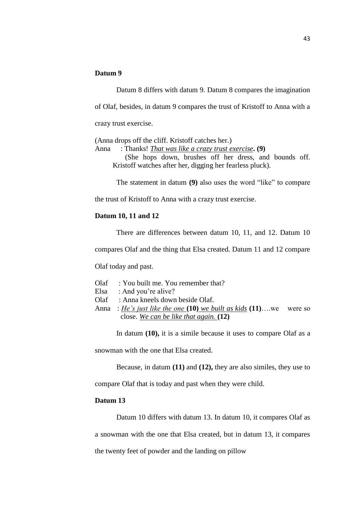Datum 8 differs with datum 9. Datum 8 compares the imagination

of Olaf, besides, in datum 9 compares the trust of Kristoff to Anna with a

crazy trust exercise.

```
(Anna drops off the cliff. Kristoff catches her.)
```
Anna : Thanks! *That was like a crazy trust exercise***. (9)**

(She hops down, brushes off her dress, and bounds off. Kristoff watches after her, digging her fearless pluck).

The statement in datum **(9)** also uses the word "like" to compare

the trust of Kristoff to Anna with a crazy trust exercise.

# **Datum 10, 11 and 12**

There are differences between datum 10, 11, and 12. Datum 10

compares Olaf and the thing that Elsa created. Datum 11 and 12 compare

Olaf today and past.

|      | Olaf : You built me. You remember that?                         |         |
|------|-----------------------------------------------------------------|---------|
| Elsa | : And you're alive?                                             |         |
|      | Olaf : Anna kneels down beside Olaf.                            |         |
|      | Anna : He's just like the one $(10)$ we built as kids $(11)$ we | were so |
|      | close. We can be like that again. $(12)$                        |         |

In datum **(10),** it is a simile because it uses to compare Olaf as a

snowman with the one that Elsa created.

Because, in datum **(11)** and **(12),** they are also similes, they use to

compare Olaf that is today and past when they were child.

# **Datum 13**

Datum 10 differs with datum 13. In datum 10, it compares Olaf as a snowman with the one that Elsa created, but in datum 13, it compares the twenty feet of powder and the landing on pillow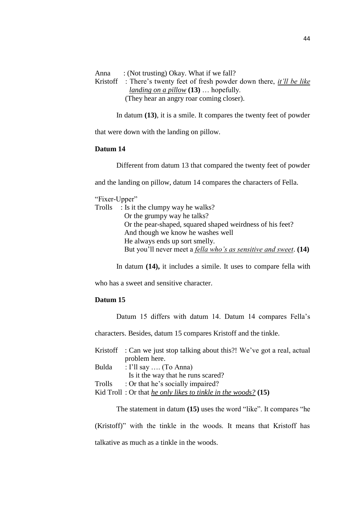Anna : (Not trusting) Okay. What if we fall? Kristoff : There's twenty feet of fresh powder down there, *it'll be like landing on a pillow* **(13)** … hopefully. (They hear an angry roar coming closer).

In datum **(13)**, it is a smile. It compares the twenty feet of powder

that were down with the landing on pillow.

### **Datum 14**

Different from datum 13 that compared the twenty feet of powder

and the landing on pillow, datum 14 compares the characters of Fella.

#### "Fixer-Upper"

| Trolls | : Is it the clumpy way he walks?                                         |
|--------|--------------------------------------------------------------------------|
|        | Or the grumpy way he talks?                                              |
|        | Or the pear-shaped, squared shaped weirdness of his feet?                |
|        | And though we know he washes well                                        |
|        | He always ends up sort smelly.                                           |
|        | But you'll never meet a <i>fella who's as sensitive and sweet</i> . (14) |
|        |                                                                          |

In datum **(14),** it includes a simile. It uses to compare fella with

who has a sweet and sensitive character.

# **Datum 15**

Datum 15 differs with datum 14. Datum 14 compares Fella's

characters. Besides, datum 15 compares Kristoff and the tinkle.

|        | Kristoff : Can we just stop talking about this?! We've got a real, actual |
|--------|---------------------------------------------------------------------------|
|        | problem here.                                                             |
| Bulda  | : I'll say  (To Anna)                                                     |
|        | Is it the way that he runs scared?                                        |
| Trolls | : Or that he's socially impaired?                                         |
|        | Kid Troll: Or that <i>he only likes to tinkle in the woods?</i> $(15)$    |
|        |                                                                           |

The statement in datum **(15)** uses the word "like". It compares "he

(Kristoff)" with the tinkle in the woods. It means that Kristoff has

talkative as much as a tinkle in the woods.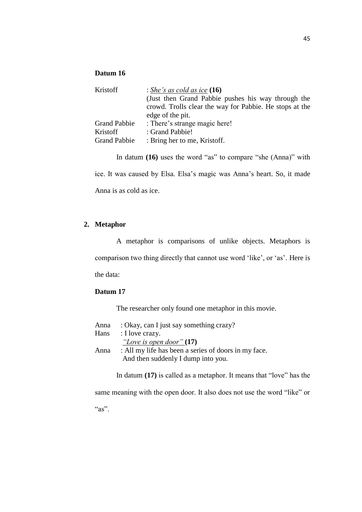| : She's as cold as ice $(16)$                           |
|---------------------------------------------------------|
| (Just then Grand Pabbie pushes his way through the      |
| crowd. Trolls clear the way for Pabbie. He stops at the |
| edge of the pit.                                        |
| : There's strange magic here!                           |
| : Grand Pabbie!                                         |
| : Bring her to me, Kristoff.                            |
|                                                         |

In datum **(16)** uses the word "as" to compare "she (Anna)" with ice. It was caused by Elsa. Elsa's magic was Anna's heart. So, it made Anna is as cold as ice.

# **2. Metaphor**

A metaphor is comparisons of unlike objects. Metaphors is comparison two thing directly that cannot use word 'like', or 'as'. Here is the data:

# **Datum 17**

The researcher only found one metaphor in this movie.

| : All my life has been a series of doors in my face. |
|------------------------------------------------------|
|                                                      |

In datum **(17)** is called as a metaphor. It means that "love" has the same meaning with the open door. It also does not use the word "like" or "as".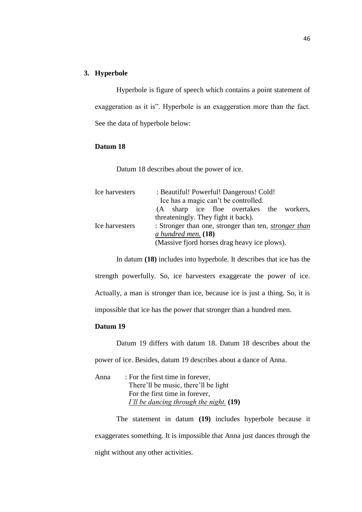# **3. Hyperbole**

Hyperbole is figure of speech which contains a point statement of exaggeration as it is". Hyperbole is an exaggeration more than the fact. See the data of hyperbole below:

# **Datum 18**

Datum 18 describes about the power of ice.

| : Beautiful! Powerful! Dangerous! Cold! |  |  |                       |                                     |                                                                                                                                                                                                  |
|-----------------------------------------|--|--|-----------------------|-------------------------------------|--------------------------------------------------------------------------------------------------------------------------------------------------------------------------------------------------|
|                                         |  |  |                       |                                     |                                                                                                                                                                                                  |
|                                         |  |  |                       |                                     |                                                                                                                                                                                                  |
|                                         |  |  |                       |                                     |                                                                                                                                                                                                  |
|                                         |  |  |                       |                                     |                                                                                                                                                                                                  |
|                                         |  |  |                       |                                     |                                                                                                                                                                                                  |
|                                         |  |  |                       |                                     |                                                                                                                                                                                                  |
|                                         |  |  | a hundred men. $(18)$ | threateningly. They fight it back). | Ice has a magic can't be controlled.<br>(A sharp ice floe overtakes the workers,<br>: Stronger than one, stronger than ten, <i>stronger than</i><br>(Massive fjord horses drag heavy ice plows). |

In datum **(18)** includes into hyperbole. It describes that ice has the strength powerfully. So, ice harvesters exaggerate the power of ice. Actually, a man is stronger than ice, because ice is just a thing. So, it is impossible that ice has the power that stronger than a hundred men.

# **Datum 19**

Datum 19 differs with datum 18. Datum 18 describes about the power of ice. Besides, datum 19 describes about a dance of Anna.

Anna : For the first time in forever, There'll be music, there'll be light For the first time in forever, *I'll be dancing through the night.* **(19)**

The statement in datum **(19)** includes hyperbole because it exaggerates something. It is impossible that Anna just dances through the night without any other activities.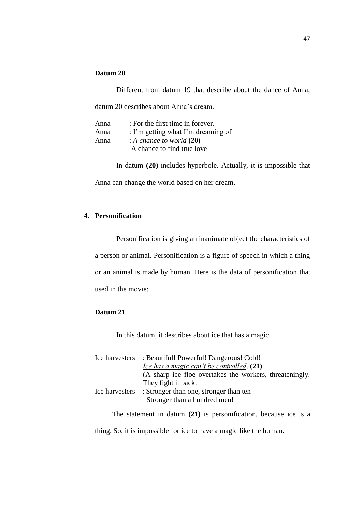Different from datum 19 that describe about the dance of Anna, datum 20 describes about Anna's dream. Anna : For the first time in forever.

| 4 MHH | $\,$ , 1 or the mot three in forever. |
|-------|---------------------------------------|
| Anna  | : I'm getting what I'm dreaming of    |
| Anna  | : A chance to world $(20)$            |
|       | A chance to find true love            |

In datum **(20)** includes hyperbole. Actually, it is impossible that Anna can change the world based on her dream.

# **4. Personification**

Personification is giving an inanimate object the characteristics of a person or animal. Personification is a figure of speech in which a thing or an animal is made by human. Here is the data of personification that used in the movie:

### **Datum 21**

In this datum, it describes about ice that has a magic.

|                | Ice harvesters : Beautiful! Powerful! Dangerous! Cold!  |
|----------------|---------------------------------------------------------|
|                | Ice has a magic can't be controlled. (21)               |
|                | (A sharp ice floe overtakes the workers, threateningly. |
|                | They fight it back.                                     |
| Ice harvesters | : Stronger than one, stronger than ten                  |
|                | Stronger than a hundred men!                            |
|                |                                                         |

The statement in datum **(21)** is personification, because ice is a thing. So, it is impossible for ice to have a magic like the human.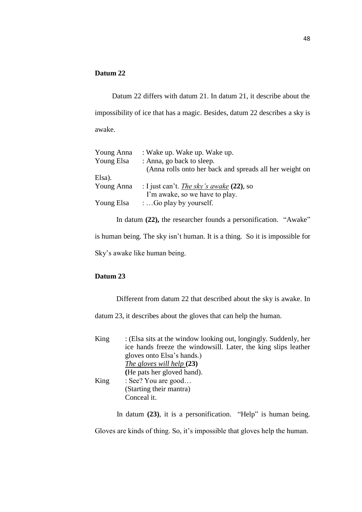Datum 22 differs with datum 21. In datum 21, it describe about the impossibility of ice that has a magic. Besides, datum 22 describes a sky is awake.

| Young Anna | : Wake up. Wake up. Wake up.                            |
|------------|---------------------------------------------------------|
| Young Elsa | : Anna, go back to sleep.                               |
|            | (Anna rolls onto her back and spreads all her weight on |
| Elsa).     |                                                         |
| Young Anna | : I just can't. The sky's awake $(22)$ , so             |
|            | I'm awake, so we have to play.                          |
| Young Elsa | $\therefore$ Go play by yourself.                       |

In datum **(22),** the researcher founds a personification. "Awake"

is human being. The sky isn't human. It is a thing. So it is impossible for Sky's awake like human being.

# **Datum 23**

Different from datum 22 that described about the sky is awake. In

datum 23, it describes about the gloves that can help the human.

King : (Elsa sits at the window looking out, longingly. Suddenly, her ice hands freeze the windowsill. Later, the king slips leather gloves onto Elsa's hands.) *The gloves will help* **(23) (**He pats her gloved hand). King : See? You are good... (Starting their mantra) Conceal it.

In datum **(23)**, it is a personification. "Help" is human being.

Gloves are kinds of thing. So, it's impossible that gloves help the human.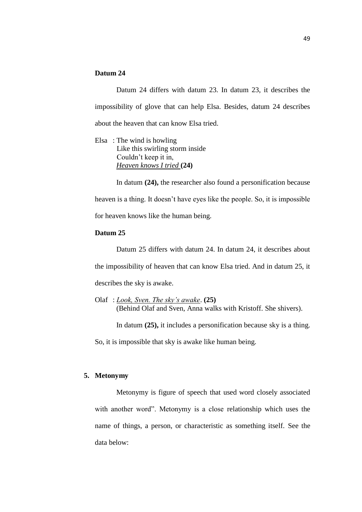Datum 24 differs with datum 23. In datum 23, it describes the impossibility of glove that can help Elsa. Besides, datum 24 describes about the heaven that can know Elsa tried.

Elsa : The wind is howling Like this swirling storm inside Couldn't keep it in, *Heaven knows I tried* **(24)**

In datum **(24),** the researcher also found a personification because heaven is a thing. It doesn't have eyes like the people. So, it is impossible for heaven knows like the human being.

## **Datum 25**

Datum 25 differs with datum 24. In datum 24, it describes about the impossibility of heaven that can know Elsa tried. And in datum 25, it describes the sky is awake.

Olaf : *Look, Sven. The sky's awake*. **(25)** (Behind Olaf and Sven, Anna walks with Kristoff. She shivers).

In datum **(25),** it includes a personification because sky is a thing.

So, it is impossible that sky is awake like human being.

### **5. Metonymy**

Metonymy is figure of speech that used word closely associated with another word". Metonymy is a close relationship which uses the name of things, a person, or characteristic as something itself. See the data below: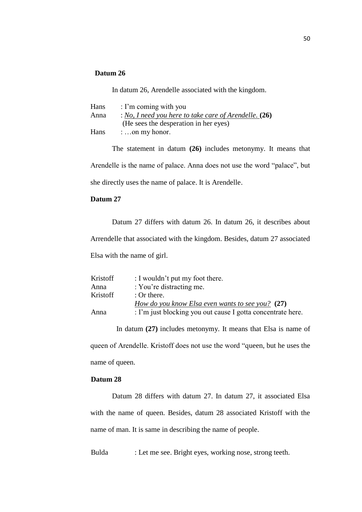In datum 26, Arendelle associated with the kingdom.

| Hans | $\therefore$ I'm coming with you                        |
|------|---------------------------------------------------------|
| Anna | : No, I need you here to take care of Arendelle. $(26)$ |
|      | (He sees the desperation in her eyes)                   |
| Hans | $\therefore$ on my honor.                               |

The statement in datum **(26)** includes metonymy. It means that Arendelle is the name of palace. Anna does not use the word "palace", but she directly uses the name of palace. It is Arendelle.

# **Datum 27**

Datum 27 differs with datum 26. In datum 26, it describes about Arrendelle that associated with the kingdom. Besides, datum 27 associated Elsa with the name of girl.

| Kristoff | : I wouldn't put my foot there.                             |
|----------|-------------------------------------------------------------|
| Anna     | : You're distracting me.                                    |
| Kristoff | $:$ Or there.                                               |
|          | How do you know Elsa even wants to see you? (27)            |
| Anna     | : I'm just blocking you out cause I gotta concentrate here. |

In datum **(27)** includes metonymy. It means that Elsa is name of queen of Arendelle. Kristoff does not use the word "queen, but he uses the name of queen.

# **Datum 28**

Datum 28 differs with datum 27. In datum 27, it associated Elsa with the name of queen. Besides, datum 28 associated Kristoff with the name of man. It is same in describing the name of people.

Bulda : Let me see. Bright eyes, working nose, strong teeth.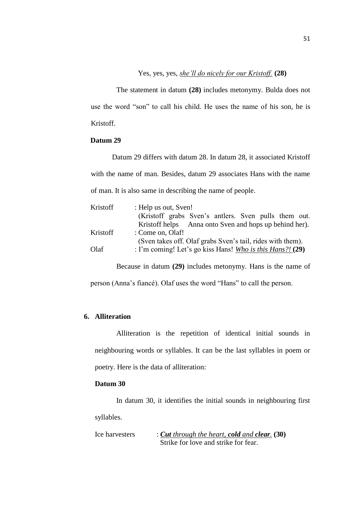Yes, yes, yes, *she'll do nicely for our Kristoff.* **(28)**

The statement in datum **(28)** includes metonymy. Bulda does not use the word "son" to call his child. He uses the name of his son, he is Kristoff.

# **Datum 29**

Datum 29 differs with datum 28. In datum 28, it associated Kristoff with the name of man. Besides, datum 29 associates Hans with the name of man. It is also same in describing the name of people.

| Kristoff | : Help us out, Sven!                                       |
|----------|------------------------------------------------------------|
|          | (Kristoff grabs Sven's antlers. Sven pulls them out.       |
|          | Kristoff helps Anna onto Sven and hops up behind her).     |
| Kristoff | : Come on, Olaf!                                           |
|          | (Sven takes off. Olaf grabs Sven's tail, rides with them). |
| Olaf     | : I'm coming! Let's go kiss Hans! Who is this Hans?! (29)  |
|          |                                                            |

Because in datum **(29)** includes metonymy. Hans is the name of

person (Anna's fiancé). Olaf uses the word "Hans" to call the person.

# **6. Alliteration**

Alliteration is the repetition of identical initial sounds in neighbouring words or syllables. It can be the last syllables in poem or poetry. Here is the data of alliteration:

# **Datum 30**

In datum 30, it identifies the initial sounds in neighbouring first syllables.

| Ice harvesters | : Cut through the heart, cold and clear. $(30)$ |
|----------------|-------------------------------------------------|
|                | Strike for love and strike for fear.            |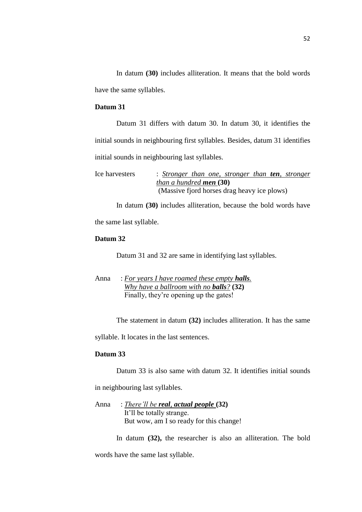In datum **(30)** includes alliteration. It means that the bold words have the same syllables.

#### **Datum 31**

Datum 31 differs with datum 30. In datum 30, it identifies the initial sounds in neighbouring first syllables. Besides, datum 31 identifies initial sounds in neighbouring last syllables.

Ice harvesters : *Stronger than one, stronger than ten, stronger than a hundred men* **(30)** (Massive fjord horses drag heavy ice plows)

In datum **(30)** includes alliteration, because the bold words have the same last syllable.

# **Datum 32**

Datum 31 and 32 are same in identifying last syllables.

Anna : *For years I have roamed these empty halls. Why have a ballroom with no balls?* **(32)** Finally, they're opening up the gates!

The statement in datum **(32)** includes alliteration. It has the same

syllable. It locates in the last sentences.

# **Datum 33**

Datum 33 is also same with datum 32. It identifies initial sounds

in neighbouring last syllables.

Anna : *There'll be real, actual people* **(32)** It'll be totally strange. But wow, am I so ready for this change!

In datum **(32),** the researcher is also an alliteration. The bold

words have the same last syllable.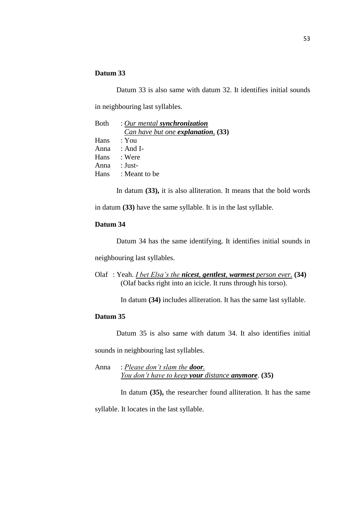Datum 33 is also same with datum 32. It identifies initial sounds in neighbouring last syllables.

| <b>Both</b> | $: Our$ mental synchronization             |
|-------------|--------------------------------------------|
|             | Can have but one <b>explanation</b> , (33) |
| <b>Hans</b> | : You                                      |
| Anna        | : And I-                                   |
| <b>Hans</b> | $\therefore$ Were                          |
| Anna        | $: Just-$                                  |
| Hans        | : Meant to be                              |
|             |                                            |

In datum **(33),** it is also alliteration. It means that the bold words in datum **(33)** have the same syllable. It is in the last syllable.

# **Datum 34**

Datum 34 has the same identifying. It identifies initial sounds in

neighbouring last syllables.

Olaf : Yeah. *I bet Elsa's the nicest, gentlest, warmest person ever.* **(34)** (Olaf backs right into an icicle. It runs through his torso).

In datum **(34)** includes alliteration. It has the same last syllable.

# **Datum 35**

Datum 35 is also same with datum 34. It also identifies initial sounds in neighbouring last syllables.

Anna : *Please don't slam the <i>door*. *You don't have to keep your distance anymore*. **(35)**

In datum **(35),** the researcher found alliteration. It has the same

syllable. It locates in the last syllable.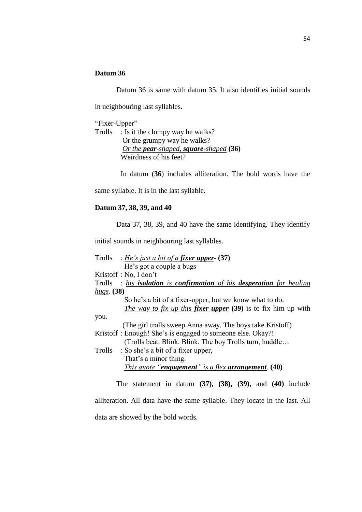Datum 36 is same with datum 35. It also identifies initial sounds

in neighbouring last syllables.

"Fixer-Upper"

Trolls : Is it the clumpy way he walks? Or the grumpy way he walks? *Or the pear-shaped, square-shaped* **(36)**  Weirdness of his feet?

In datum (**36**) includes alliteration. The bold words have the

same syllable. It is in the last syllable.

### **Datum 37, 38, 39, and 40**

Data 37, 38, 39, and 40 have the same identifying. They identify

initial sounds in neighbouring last syllables.

| Trolls : <i>He's just a bit of a fixer upper</i> (37)                 |
|-----------------------------------------------------------------------|
| He's got a couple a bugs                                              |
| Kristoff: No, I don't                                                 |
| Trolls : his isolation is confirmation of his desperation for healing |
| hugs. $(38)$                                                          |
| So he's a bit of a fixer-upper, but we know what to do.               |
| <i>The way to fix up this fixer upper</i> (39) is to fix him up with  |
| you.                                                                  |
| (The girl trolls sweep Anna away. The boys take Kristoff)             |
| Kristoff: Enough! She's is engaged to someone else. Okay?!            |
| (Trolls beat. Blink. Blink. The boy Trolls turn, huddle               |
| Trolls $\therefore$ So she's a bit of a fixer upper,                  |
| That's a minor thing.                                                 |
| This quote " <b>engagement</b> " is a flex <b>arrangement</b> . (40)  |
|                                                                       |
| The statement in datum $(37)$ , $(38)$ , $(39)$ , and $(40)$ include  |

alliteration. All data have the same syllable. They locate in the last. All data are showed by the bold words.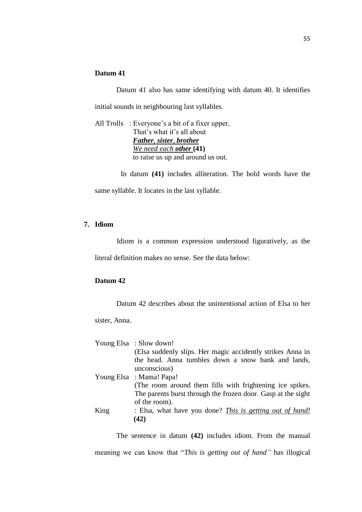Datum 41 also has same identifying with datum 40. It identifies initial sounds in neighbouring last syllables.

All Trolls : Everyone's a bit of a fixer upper, That's what it's all about *Father, sister, brother We need each other* **(41)** to raise us up and around us out.

In datum **(41)** includes alliteration. The bold words have the same syllable. It locates in the last syllable.

# **7. Idiom**

Idiom is a common expression understood figuratively, as the

literal definition makes no sense. See the data below:

### **Datum 42**

Datum 42 describes about the unintentional action of Elsa to her

sister, Anna.

|      | Young Elsa : Slow down!                                      |
|------|--------------------------------------------------------------|
|      | (Elsa suddenly slips. Her magic accidently strikes Anna in   |
|      | the head. Anna tumbles down a snow bank and lands,           |
|      | unconscious)                                                 |
|      | Young Elsa : Mama! Papa!                                     |
|      | (The room around them fills with frightening ice spikes.)    |
|      | The parents burst through the frozen door. Gasp at the sight |
|      | of the room).                                                |
| King | : Elsa, what have you done? This is getting out of hand!     |
|      | (42)                                                         |
|      |                                                              |

The sentence in datum **(42)** includes idiom. From the manual meaning we can know that "*This is getting out of hand"* has illogical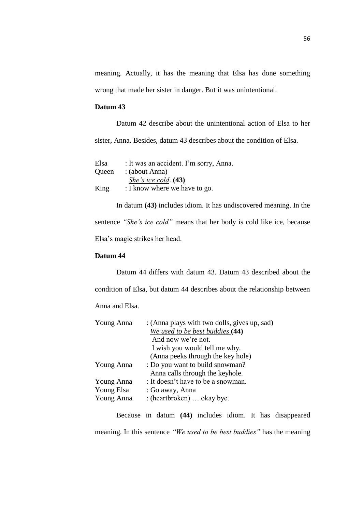meaning. Actually, it has the meaning that Elsa has done something wrong that made her sister in danger. But it was unintentional.

### **Datum 43**

Datum 42 describe about the unintentional action of Elsa to her sister, Anna. Besides, datum 43 describes about the condition of Elsa.

| Elsa  | : It was an accident. I'm sorry, Anna. |
|-------|----------------------------------------|
| Queen | : (about Anna)                         |
|       | She's ice cold. $(43)$                 |
| King  | : I know where we have to go.          |

In datum **(43)** includes idiom. It has undiscovered meaning. In the sentence *"She's ice cold"* means that her body is cold like ice, because Elsa's magic strikes her head.

### **Datum 44**

Datum 44 differs with datum 43. Datum 43 described about the condition of Elsa, but datum 44 describes about the relationship between Anna and Elsa.

| Young Anna | : (Anna plays with two dolls, gives up, sad) |
|------------|----------------------------------------------|
|            | We used to be best buddies (44)              |
|            | And now we're not.                           |
|            | I wish you would tell me why.                |
|            | (Anna peeks through the key hole)            |
| Young Anna | : Do you want to build snowman?              |
|            | Anna calls through the keyhole.              |
| Young Anna | : It doesn't have to be a snowman.           |
| Young Elsa | : Go away, Anna                              |
| Young Anna | : (heartbroken)  okay bye.                   |
|            |                                              |

Because in datum **(44)** includes idiom. It has disappeared meaning. In this sentence *"We used to be best buddies"* has the meaning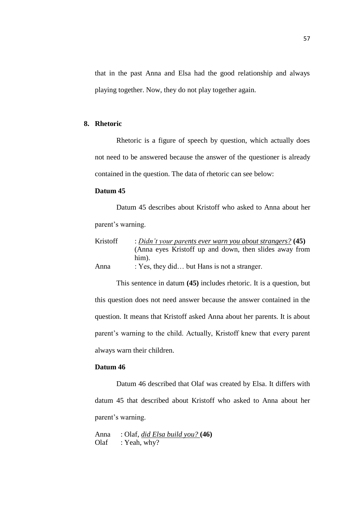that in the past Anna and Elsa had the good relationship and always playing together. Now, they do not play together again.

### **8. Rhetoric**

Rhetoric is a figure of speech by question, which actually does not need to be answered because the answer of the questioner is already contained in the question. The data of rhetoric can see below:

### **Datum 45**

Datum 45 describes about Kristoff who asked to Anna about her parent's warning.

| Kristoff | : Didn't your parents ever warn you about strangers? $(45)$ |
|----------|-------------------------------------------------------------|
|          | (Anna eyes Kristoff up and down, then slides away from      |
|          | him).                                                       |
| Anna     | : Yes, they did but Hans is not a stranger.                 |

This sentence in datum **(45)** includes rhetoric. It is a question, but this question does not need answer because the answer contained in the question. It means that Kristoff asked Anna about her parents. It is about parent's warning to the child. Actually, Kristoff knew that every parent always warn their children.

#### **Datum 46**

Datum 46 described that Olaf was created by Elsa. It differs with datum 45 that described about Kristoff who asked to Anna about her parent's warning.

Anna : Olaf, *did Elsa build you?* **(46)** Olaf : Yeah, why?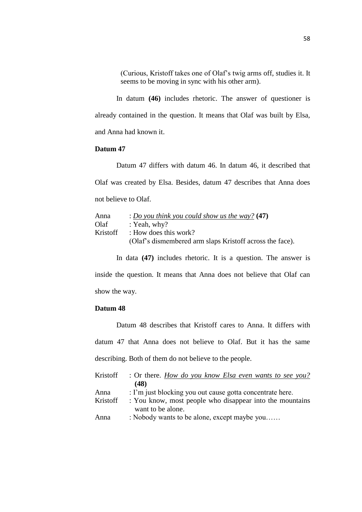(Curious, Kristoff takes one of Olaf's twig arms off, studies it. It seems to be moving in sync with his other arm).

In datum **(46)** includes rhetoric. The answer of questioner is already contained in the question. It means that Olaf was built by Elsa, and Anna had known it.

#### **Datum 47**

Datum 47 differs with datum 46. In datum 46, it described that Olaf was created by Elsa. Besides, datum 47 describes that Anna does not believe to Olaf.

| Anna     | : Do you think you could show us the way? $(47)$         |
|----------|----------------------------------------------------------|
| Olaf     | : Yeah, $why$ ?                                          |
| Kristoff | : How does this work?                                    |
|          | (Olaf's dismembered arm slaps Kristoff across the face). |

In data **(47)** includes rhetoric. It is a question. The answer is inside the question. It means that Anna does not believe that Olaf can show the way.

#### **Datum 48**

Datum 48 describes that Kristoff cares to Anna. It differs with datum 47 that Anna does not believe to Olaf. But it has the same describing. Both of them do not believe to the people.

| Kristoff | : Or there. How do you know Elsa even wants to see you?   |
|----------|-----------------------------------------------------------|
|          | (48)                                                      |
| Anna     | : I'm just blocking you out cause gotta concentrate here. |
| Kristoff | : You know, most people who disappear into the mountains  |
|          | want to be alone.                                         |
| Anna     | : Nobody wants to be alone, except maybe you              |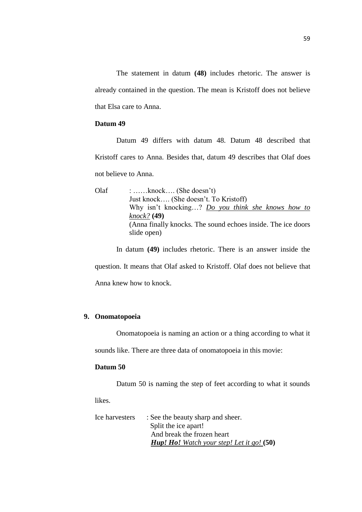The statement in datum **(48)** includes rhetoric. The answer is already contained in the question. The mean is Kristoff does not believe that Elsa care to Anna.

### **Datum 49**

Datum 49 differs with datum 48. Datum 48 described that Kristoff cares to Anna. Besides that, datum 49 describes that Olaf does not believe to Anna.

Olaf : ……knock…. (She doesn't) Just knock…. (She doesn't. To Kristoff) Why isn't knocking…? *Do you think she knows how to knock?* **(49)** (Anna finally knocks. The sound echoes inside. The ice doors slide open)

In datum **(49)** includes rhetoric. There is an answer inside the question. It means that Olaf asked to Kristoff. Olaf does not believe that Anna knew how to knock.

# **9. Onomatopoeia**

Onomatopoeia is naming an action or a thing according to what it

sounds like. There are three data of onomatopoeia in this movie:

#### **Datum 50**

Datum 50 is naming the step of feet according to what it sounds

likes.

| Ice harvesters | : See the beauty sharp and sheer.                  |
|----------------|----------------------------------------------------|
|                | Split the ice apart!                               |
|                | And break the frozen heart                         |
|                | <b>Hup!</b> Ho! Watch your step! Let it go! $(50)$ |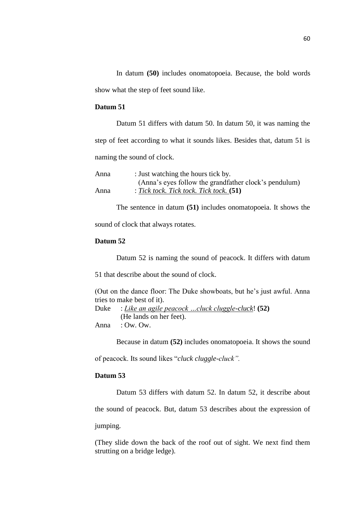In datum **(50)** includes onomatopoeia. Because, the bold words show what the step of feet sound like.

## **Datum 51**

Datum 51 differs with datum 50. In datum 50, it was naming the step of feet according to what it sounds likes. Besides that, datum 51 is naming the sound of clock.

| Anna | : Just watching the hours tick by.                    |
|------|-------------------------------------------------------|
|      | (Anna's eyes follow the grandfather clock's pendulum) |
| Anna | $:$ Tick tock. Tick tock. Tick tock. $(51)$           |

The sentence in datum **(51)** includes onomatopoeia. It shows the

sound of clock that always rotates.

#### **Datum 52**

Datum 52 is naming the sound of peacock. It differs with datum

51 that describe about the sound of clock.

(Out on the dance floor: The Duke showboats, but he's just awful. Anna tries to make best of it).

```
Duke : Like an agile peacock …cluck cluggle-cluck! (52)
(He lands on her feet).
```
Anna : Ow. Ow.

Because in datum **(52)** includes onomatopoeia. It shows the sound

of peacock. Its sound likes "*cluck cluggle-cluck".*

# **Datum 53**

Datum 53 differs with datum 52. In datum 52, it describe about

the sound of peacock. But, datum 53 describes about the expression of

jumping.

(They slide down the back of the roof out of sight. We next find them strutting on a bridge ledge).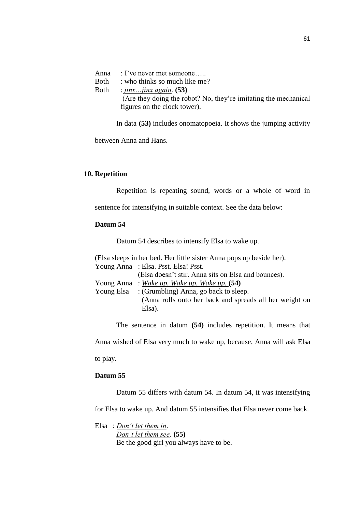|             | Anna : I've never met someone                                   |
|-------------|-----------------------------------------------------------------|
| <b>Both</b> | : who thinks so much like me?                                   |
| Both        | : $\lim_{n \to \infty}$ inx again. (53)                         |
|             | (Are they doing the robot? No, they're imitating the mechanical |
|             | figures on the clock tower).                                    |
|             |                                                                 |

In data **(53)** includes onomatopoeia. It shows the jumping activity

between Anna and Hans.

### **10. Repetition**

Repetition is repeating sound, words or a whole of word in

sentence for intensifying in suitable context. See the data below:

# **Datum 54**

Datum 54 describes to intensify Elsa to wake up.

| (Elsa sleeps in her bed. Her little sister Anna pops up beside her). |
|----------------------------------------------------------------------|
| Young Anna : Elsa. Psst. Elsa! Psst.                                 |
| (Elsa doesn't stir. Anna sits on Elsa and bounces).                  |
| Young Anna: Wake up. Wake up. Wake up. (54)                          |
| Young Elsa : (Grumbling) Anna, go back to sleep.                     |
| (Anna rolls onto her back and spreads all her weight on              |
| Elsa).                                                               |
|                                                                      |

The sentence in datum **(54)** includes repetition. It means that

Anna wished of Elsa very much to wake up, because, Anna will ask Elsa

to play.

# **Datum 55**

Datum 55 differs with datum 54. In datum 54, it was intensifying

for Elsa to wake up. And datum 55 intensifies that Elsa never come back.

Elsa : *Don't let them in*. *Don't let them see*. **(55)** Be the good girl you always have to be.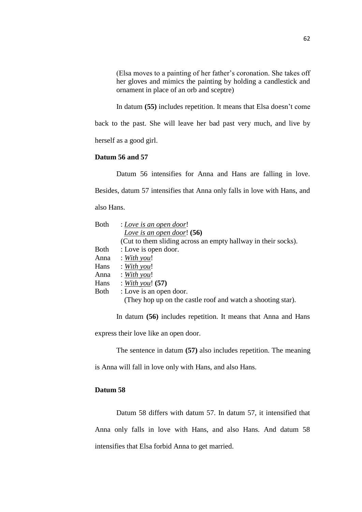(Elsa moves to a painting of her father's coronation. She takes off her gloves and mimics the painting by holding a candlestick and ornament in place of an orb and sceptre)

In datum **(55)** includes repetition. It means that Elsa doesn't come

back to the past. She will leave her bad past very much, and live by

herself as a good girl.

# **Datum 56 and 57**

Datum 56 intensifies for Anna and Hans are falling in love. Besides, datum 57 intensifies that Anna only falls in love with Hans, and also Hans.

| Both | : Love is an open door!                                       |
|------|---------------------------------------------------------------|
|      | Love is an open door! $(56)$                                  |
|      | (Cut to them sliding across an empty hallway in their socks). |
| Both | : Love is open door.                                          |
| Anna | : With you!                                                   |
| Hans | : With you!                                                   |
| Anna | : With you!                                                   |
| Hans | : With you! (57)                                              |
| Both | : Love is an open door.                                       |
|      | (They hop up on the castle roof and watch a shooting star).   |
|      |                                                               |

In datum **(56)** includes repetition. It means that Anna and Hans express their love like an open door.

The sentence in datum **(57)** also includes repetition. The meaning

is Anna will fall in love only with Hans, and also Hans.

# **Datum 58**

Datum 58 differs with datum 57. In datum 57, it intensified that Anna only falls in love with Hans, and also Hans. And datum 58 intensifies that Elsa forbid Anna to get married.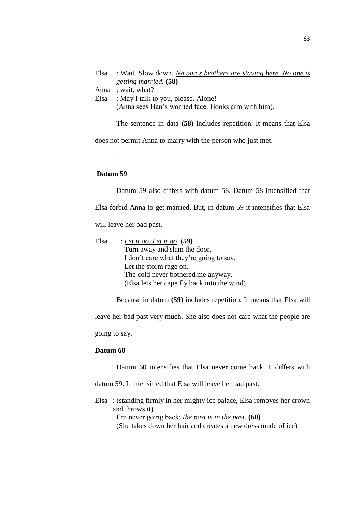| Elsa : Wait. Slow down. No one's brothers are staying here. No one is |
|-----------------------------------------------------------------------|
| <i>getting married.</i> (58)                                          |
| Anna: wait, what?                                                     |
| Elsa : May I talk to you, please. Alone!                              |
| (Anna sees Han's worried face. Hooks arm with him).                   |
|                                                                       |

The sentence in data **(58)** includes repetition. It means that Elsa

does not permit Anna to marry with the person who just met.

### **Datum 59**

.

Datum 59 also differs with datum 58. Datum 58 intensified that

Elsa forbid Anna to get married. But, in datum 59 it intensifies that Elsa

will leave her bad past.

| Elsa | : Let it go. Let it go. (59)                |
|------|---------------------------------------------|
|      | Turn away and slam the door.                |
|      | I don't care what they're going to say.     |
|      | Let the storm rage on.                      |
|      | The cold never bothered me anyway.          |
|      | (Elsa lets her cape fly back into the wind) |

Because in datum **(59)** includes repetition. It means that Elsa will

leave her bad past very much. She also does not care what the people are

going to say.

### **Datum 60**

Datum 60 intensifies that Elsa never come back. It differs with

datum 59. It intensified that Elsa will leave her bad past.

Elsa : (standing firmly in her mighty ice palace, Elsa removes her crown and throws it).

 I'm never going back; *the past is in the past*. **(60)** (She takes down her hair and creates a new dress made of ice)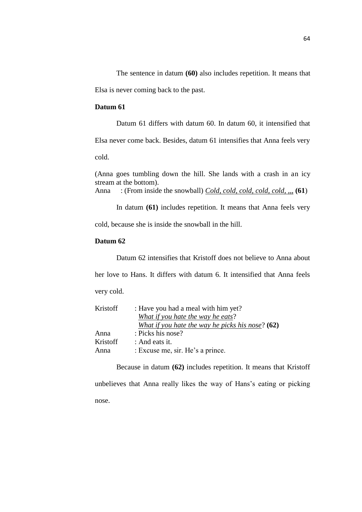The sentence in datum **(60)** also includes repetition. It means that Elsa is never coming back to the past.

## **Datum 61**

Datum 61 differs with datum 60. In datum 60, it intensified that

Elsa never come back. Besides, datum 61 intensifies that Anna feels very

cold.

(Anna goes tumbling down the hill. She lands with a crash in an icy stream at the bottom). Anna : (From inside the snowball) *Cold, cold, cold, cold, cold, ,,,* **(61**)

In datum **(61)** includes repetition. It means that Anna feels very

cold, because she is inside the snowball in the hill.

#### **Datum 62**

Datum 62 intensifies that Kristoff does not believe to Anna about

her love to Hans. It differs with datum 6. It intensified that Anna feels

very cold.

| Kristoff | : Have you had a meal with him yet?                |
|----------|----------------------------------------------------|
|          | What if you hate the way he eats?                  |
|          | What if you hate the way he picks his nose? $(62)$ |
| Anna     | : Picks his nose?                                  |
| Kristoff | : And eats it.                                     |
| Anna     | : Excuse me, sir. He's a prince.                   |

Because in datum **(62)** includes repetition. It means that Kristoff

unbelieves that Anna really likes the way of Hans's eating or picking nose.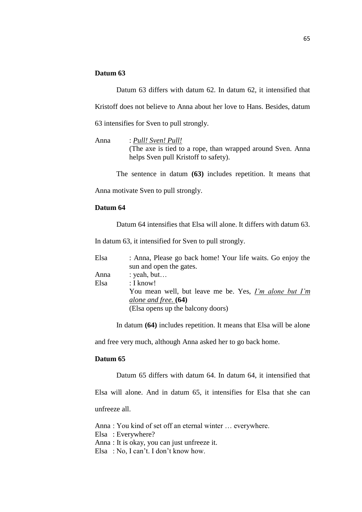Datum 63 differs with datum 62. In datum 62, it intensified that

Kristoff does not believe to Anna about her love to Hans. Besides, datum

63 intensifies for Sven to pull strongly.

Anna : *Pull! Sven! Pull!* (The axe is tied to a rope, than wrapped around Sven. Anna helps Sven pull Kristoff to safety).

The sentence in datum **(63)** includes repetition. It means that

Anna motivate Sven to pull strongly.

# **Datum 64**

Datum 64 intensifies that Elsa will alone. It differs with datum 63.

In datum 63, it intensified for Sven to pull strongly.

| Elsa | : Anna, Please go back home! Your life waits. Go enjoy the<br>sun and open the gates. |
|------|---------------------------------------------------------------------------------------|
| Anna | $:$ yeah, but                                                                         |
| Elsa | : I know!                                                                             |
|      | You mean well, but leave me be. Yes, I'm alone but I'm                                |
|      | alone and free. (64)                                                                  |
|      | (Elsa opens up the balcony doors)                                                     |

In datum **(64)** includes repetition. It means that Elsa will be alone

and free very much, although Anna asked her to go back home.

# **Datum 65**

Datum 65 differs with datum 64. In datum 64, it intensified that

Elsa will alone. And in datum 65, it intensifies for Elsa that she can

unfreeze all.

Anna : You kind of set off an eternal winter … everywhere. Elsa : Everywhere? Anna : It is okay, you can just unfreeze it. Elsa : No, I can't. I don't know how.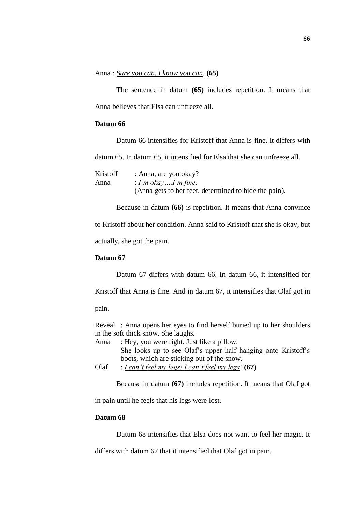Anna : *Sure you can. I know you can*. **(65)**

The sentence in datum **(65)** includes repetition. It means that Anna believes that Elsa can unfreeze all.

### **Datum 66**

Datum 66 intensifies for Kristoff that Anna is fine. It differs with datum 65. In datum 65, it intensified for Elsa that she can unfreeze all.

| Kristoff | : Anna, are you okay?                                 |
|----------|-------------------------------------------------------|
| Anna     | : $I'm$ okay $I'm$ fine.                              |
|          | (Anna gets to her feet, determined to hide the pain). |

Because in datum **(66)** is repetition. It means that Anna convince to Kristoff about her condition. Anna said to Kristoff that she is okay, but

actually, she got the pain.

### **Datum 67**

Datum 67 differs with datum 66. In datum 66, it intensified for

Kristoff that Anna is fine. And in datum 67, it intensifies that Olaf got in

pain.

Reveal : Anna opens her eyes to find herself buried up to her shoulders in the soft thick snow. She laughs.

Anna : Hey, you were right. Just like a pillow. She looks up to see Olaf's upper half hanging onto Kristoff's boots, which are sticking out of the snow.

Olaf : *I can't feel my legs! I can't feel my legs*! **(67)**

Because in datum **(67)** includes repetition. It means that Olaf got

in pain until he feels that his legs were lost.

# **Datum 68**

Datum 68 intensifies that Elsa does not want to feel her magic. It

differs with datum 67 that it intensified that Olaf got in pain.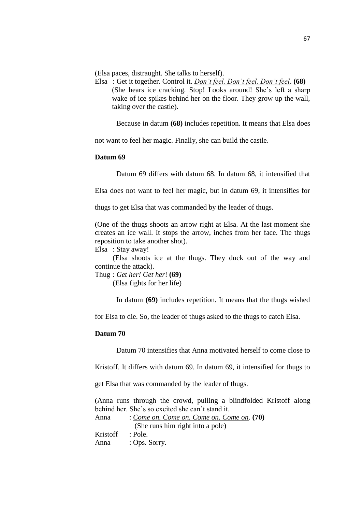(Elsa paces, distraught. She talks to herself).

Elsa : Get it together. Control it. *Don't feel. Don't feel. Don't feel*. **(68)** (She hears ice cracking. Stop! Looks around! She's left a sharp wake of ice spikes behind her on the floor. They grow up the wall, taking over the castle).

Because in datum **(68)** includes repetition. It means that Elsa does

not want to feel her magic. Finally, she can build the castle.

### **Datum 69**

Datum 69 differs with datum 68. In datum 68, it intensified that

Elsa does not want to feel her magic, but in datum 69, it intensifies for

thugs to get Elsa that was commanded by the leader of thugs.

(One of the thugs shoots an arrow right at Elsa. At the last moment she creates an ice wall. It stops the arrow, inches from her face. The thugs reposition to take another shot).

Elsa : Stay away!

(Elsa shoots ice at the thugs. They duck out of the way and continue the attack).

Thug : *Get her! Get her*! **(69)**

(Elsa fights for her life)

In datum **(69)** includes repetition. It means that the thugs wished

for Elsa to die. So, the leader of thugs asked to the thugs to catch Elsa.

## **Datum 70**

Datum 70 intensifies that Anna motivated herself to come close to

Kristoff. It differs with datum 69. In datum 69, it intensified for thugs to

get Elsa that was commanded by the leader of thugs.

(Anna runs through the crowd, pulling a blindfolded Kristoff along behind her. She's so excited she can't stand it.

Anna : *Come on. Come on. Come on. Come on*. **(70)** (She runs him right into a pole) Kristoff : Pole. Anna : Ops. Sorry.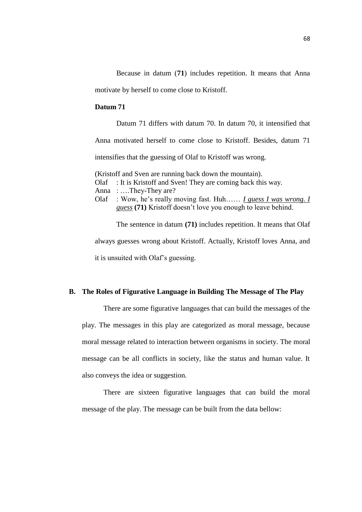Because in datum (**71**) includes repetition. It means that Anna motivate by herself to come close to Kristoff.

#### **Datum 71**

Datum 71 differs with datum 70. In datum 70, it intensified that Anna motivated herself to come close to Kristoff. Besides, datum 71 intensifies that the guessing of Olaf to Kristoff was wrong.

(Kristoff and Sven are running back down the mountain). Olaf : It is Kristoff and Sven! They are coming back this way. Anna : ….They-They are? Olaf : Wow, he's really moving fast. Huh…… *I guess I was wrong. I guess* **(71)** Kristoff doesn't love you enough to leave behind. The sentence in datum **(71)** includes repetition. It means that Olaf

always guesses wrong about Kristoff. Actually, Kristoff loves Anna, and it is unsuited with Olaf's guessing.

# **B. The Roles of Figurative Language in Building The Message of The Play**

There are some figurative languages that can build the messages of the play. The messages in this play are categorized as moral message, because moral message related to interaction between organisms in society. The moral message can be all conflicts in society, like the status and human value. It also conveys the idea or suggestion.

There are sixteen figurative languages that can build the moral message of the play. The message can be built from the data bellow: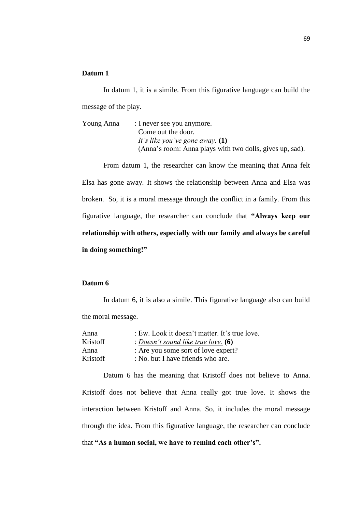In datum 1, it is a simile. From this figurative language can build the message of the play.

Young Anna : I never see you anymore. Come out the door. *It's like you've gone away.* **(1)** (Anna's room: Anna plays with two dolls, gives up, sad).

From datum 1, the researcher can know the meaning that Anna felt Elsa has gone away. It shows the relationship between Anna and Elsa was broken. So, it is a moral message through the conflict in a family. From this figurative language, the researcher can conclude that **"Always keep our relationship with others, especially with our family and always be careful in doing something!"**

### **Datum 6**

In datum 6, it is also a simile. This figurative language also can build the moral message.

| Anna     | : Ew. Look it doesn't matter. It's true love. |
|----------|-----------------------------------------------|
| Kristoff | : Doesn't sound like true love. $(6)$         |
| Anna     | : Are you some sort of love expert?           |
| Kristoff | : No. but I have friends who are.             |

Datum 6 has the meaning that Kristoff does not believe to Anna. Kristoff does not believe that Anna really got true love. It shows the interaction between Kristoff and Anna. So, it includes the moral message through the idea. From this figurative language, the researcher can conclude that **"As a human social, we have to remind each other's".**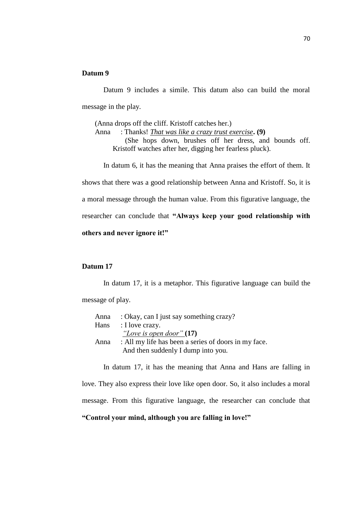Datum 9 includes a simile. This datum also can build the moral message in the play.

(Anna drops off the cliff. Kristoff catches her.)

Anna : Thanks! *That was like a crazy trust exercise***. (9)** (She hops down, brushes off her dress, and bounds off. Kristoff watches after her, digging her fearless pluck).

In datum 6, it has the meaning that Anna praises the effort of them. It shows that there was a good relationship between Anna and Kristoff. So, it is a moral message through the human value. From this figurative language, the researcher can conclude that **"Always keep your good relationship with others and never ignore it!"**

## **Datum 17**

In datum 17, it is a metaphor. This figurative language can build the message of play.

| Anna | : Okay, can I just say something crazy?              |
|------|------------------------------------------------------|
| Hans | : I love crazy.                                      |
|      | "Love is open door" $(17)$                           |
| Anna | : All my life has been a series of doors in my face. |
|      | And then suddenly I dump into you.                   |

In datum 17, it has the meaning that Anna and Hans are falling in love. They also express their love like open door. So, it also includes a moral message. From this figurative language, the researcher can conclude that **"Control your mind, although you are falling in love!"**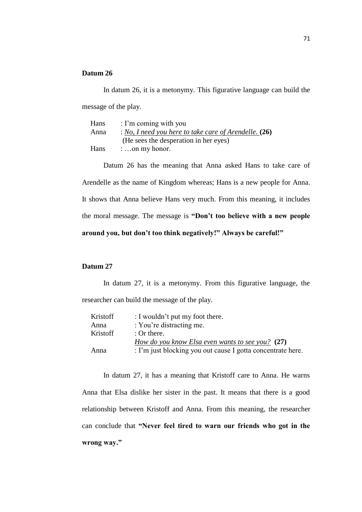In datum 26, it is a metonymy. This figurative language can build the message of the play.

| Hans | $: \Gamma$ m coming with you                            |
|------|---------------------------------------------------------|
| Anna | : No, I need you here to take care of Arendelle. $(26)$ |
|      | (He sees the desperation in her eyes)                   |
| Hans | $: \dots$ on my honor.                                  |

Datum 26 has the meaning that Anna asked Hans to take care of Arendelle as the name of Kingdom whereas; Hans is a new people for Anna. It shows that Anna believe Hans very much. From this meaning, it includes the moral message. The message is **"Don't too believe with a new people around you, but don't too think negatively!" Always be careful!"**

## **Datum 27**

In datum 27, it is a metonymy. From this figurative language, the researcher can build the message of the play.

| Kristoff | : I wouldn't put my foot there.                             |
|----------|-------------------------------------------------------------|
| Anna     | : You're distracting me.                                    |
| Kristoff | : Or there.                                                 |
|          | How do you know Elsa even wants to see you? (27)            |
| Anna     | : I'm just blocking you out cause I gotta concentrate here. |

In datum 27, it has a meaning that Kristoff care to Anna. He warns Anna that Elsa dislike her sister in the past. It means that there is a good relationship between Kristoff and Anna. From this meaning, the researcher can conclude that **"Never feel tired to warn our friends who got in the wrong way."**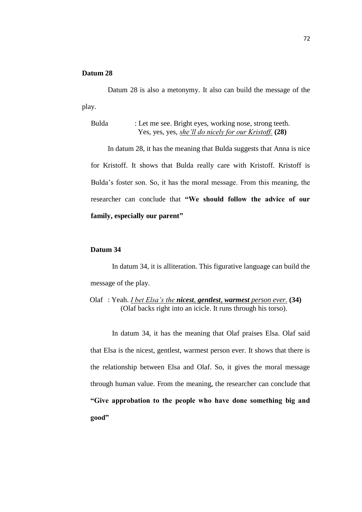Datum 28 is also a metonymy. It also can build the message of the play.

Bulda : Let me see. Bright eyes, working nose, strong teeth. Yes, yes, yes, *she'll do nicely for our Kristoff.* **(28)**

In datum 28, it has the meaning that Bulda suggests that Anna is nice for Kristoff. It shows that Bulda really care with Kristoff. Kristoff is Bulda's foster son. So, it has the moral message. From this meaning, the researcher can conclude that **"We should follow the advice of our family, especially our parent"**

### **Datum 34**

In datum 34, it is alliteration. This figurative language can build the message of the play.

Olaf : Yeah. *I bet Elsa's the nicest, gentlest, warmest person ever.* **(34)** (Olaf backs right into an icicle. It runs through his torso).

In datum 34, it has the meaning that Olaf praises Elsa. Olaf said that Elsa is the nicest, gentlest, warmest person ever. It shows that there is the relationship between Elsa and Olaf. So, it gives the moral message through human value. From the meaning, the researcher can conclude that **"Give approbation to the people who have done something big and good"**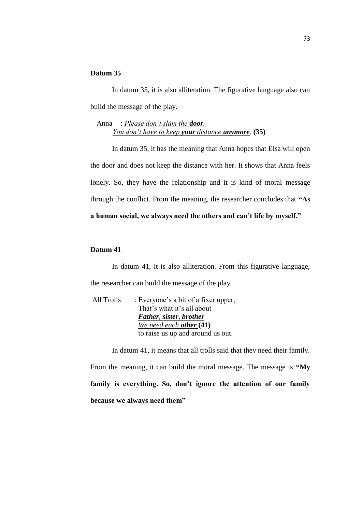In datum 35, it is also alliteration. The figurative language also can build the message of the play.

Anna : *Please don't slam the door. You don't have to keep your distance anymore*. **(35)**

In datum 35, it has the meaning that Anna hopes that Elsa will open the door and does not keep the distance with her. It shows that Anna feels lonely. So, they have the relationship and it is kind of moral message through the conflict. From the meaning, the researcher concludes that **"As a human social, we always need the others and can't life by myself."** 

# **Datum 41**

In datum 41, it is also alliteration. From this figurative language, the researcher can build the message of the play.

| All Trolls | : Everyone's a bit of a fixer upper, |
|------------|--------------------------------------|
|            | That's what it's all about           |
|            | Father, sister, brother              |
|            | We need each <b>other</b> (41)       |
|            | to raise us up and around us out.    |

In datum 41, it means that all trolls said that they need their family. From the meaning, it can build the moral message. The message is **"My family is everything. So, don't ignore the attention of our family because we always need them"**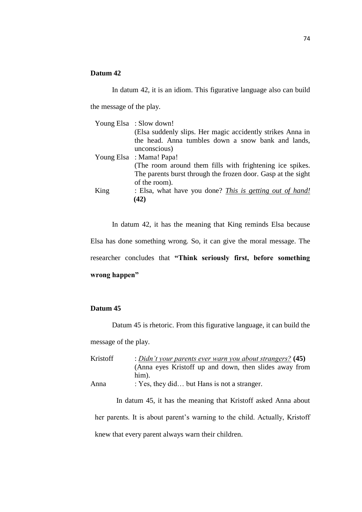In datum 42, it is an idiom. This figurative language also can build

the message of the play.

|      | Young Elsa : Slow down!                                      |
|------|--------------------------------------------------------------|
|      | (Elsa suddenly slips. Her magic accidently strikes Anna in   |
|      | the head. Anna tumbles down a snow bank and lands,           |
|      | unconscious)                                                 |
|      | Young Elsa : Mama! Papa!                                     |
|      | (The room around them fills with frightening ice spikes.     |
|      | The parents burst through the frozen door. Gasp at the sight |
|      | of the room).                                                |
| King | : Elsa, what have you done? This is getting out of hand!     |
|      | (42)                                                         |

In datum 42, it has the meaning that King reminds Elsa because Elsa has done something wrong. So, it can give the moral message. The researcher concludes that **"Think seriously first, before something wrong happen"**

# **Datum 45**

Datum 45 is rhetoric. From this figurative language, it can build the message of the play.

| Kristoff | : Didn't your parents ever warn you about strangers? $(45)$ |
|----------|-------------------------------------------------------------|
|          | (Anna eyes Kristoff up and down, then slides away from      |
|          | $h$ im $)$ .                                                |
| Anna     | : Yes, they did but Hans is not a stranger.                 |

In datum 45, it has the meaning that Kristoff asked Anna about her parents. It is about parent's warning to the child. Actually, Kristoff knew that every parent always warn their children.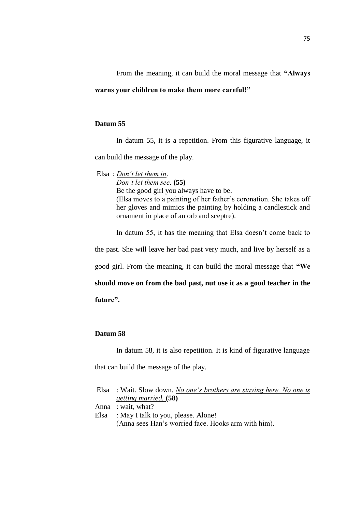From the meaning, it can build the moral message that **"Always** 

### **warns your children to make them more careful!"**

### **Datum 55**

In datum 55, it is a repetition. From this figurative language, it

can build the message of the play.

Elsa : *Don't let them in*.

 *Don't let them see*. **(55)** Be the good girl you always have to be. (Elsa moves to a painting of her father's coronation. She takes off her gloves and mimics the painting by holding a candlestick and ornament in place of an orb and sceptre).

In datum 55, it has the meaning that Elsa doesn't come back to

the past. She will leave her bad past very much, and live by herself as a

good girl. From the meaning, it can build the moral message that **"We** 

**should move on from the bad past, nut use it as a good teacher in the** 

# **future".**

## **Datum 58**

In datum 58, it is also repetition. It is kind of figurative language

that can build the message of the play.

| Elsa : Wait. Slow down. No one's brothers are staying here. No one is |
|-----------------------------------------------------------------------|
| getting married. (58)                                                 |
| Anna : wait, what?                                                    |
|                                                                       |

Elsa : May I talk to you, please. Alone! (Anna sees Han's worried face. Hooks arm with him).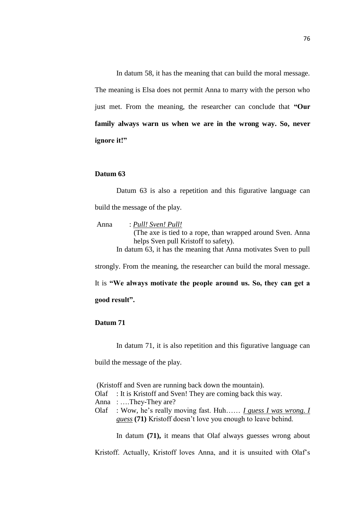In datum 58, it has the meaning that can build the moral message. The meaning is Elsa does not permit Anna to marry with the person who just met. From the meaning, the researcher can conclude that **"Our family always warn us when we are in the wrong way. So, never ignore it!"**

### **Datum 63**

Datum 63 is also a repetition and this figurative language can build the message of the play.

| Anna | : Pull! Sven! Pull!                                              |
|------|------------------------------------------------------------------|
|      | (The axe is tied to a rope, than wrapped around Sven. Anna)      |
|      | helps Sven pull Kristoff to safety).                             |
|      | In datum 63, it has the meaning that Anna motivates Sven to pull |

strongly. From the meaning, the researcher can build the moral message.

It is **"We always motivate the people around us. So, they can get a good result".**

# **Datum 71**

In datum 71, it is also repetition and this figurative language can

build the message of the play.

(Kristoff and Sven are running back down the mountain).

- Olaf : It is Kristoff and Sven! They are coming back this way.
- Anna : ….They-They are?
- Olaf : Wow, he's really moving fast. Huh…… *I guess I was wrong. I guess* **(71)** Kristoff doesn't love you enough to leave behind.

In datum **(71),** it means that Olaf always guesses wrong about

Kristoff. Actually, Kristoff loves Anna, and it is unsuited with Olaf's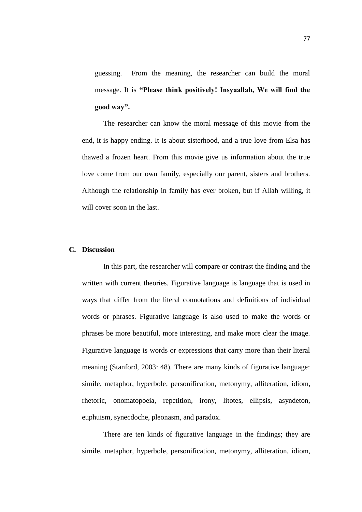guessing. From the meaning, the researcher can build the moral message. It is **"Please think positively! Insyaallah, We will find the good way".**

The researcher can know the moral message of this movie from the end, it is happy ending. It is about sisterhood, and a true love from Elsa has thawed a frozen heart. From this movie give us information about the true love come from our own family, especially our parent, sisters and brothers. Although the relationship in family has ever broken, but if Allah willing, it will cover soon in the last.

### **C. Discussion**

In this part, the researcher will compare or contrast the finding and the written with current theories. Figurative language is language that is used in ways that differ from the literal connotations and definitions of individual words or phrases. Figurative language is also used to make the words or phrases be more beautiful, more interesting, and make more clear the image. Figurative language is words or expressions that carry more than their literal meaning (Stanford, 2003: 48). There are many kinds of figurative language: simile, metaphor, hyperbole, personification, metonymy, alliteration, idiom, rhetoric, onomatopoeia, repetition, irony, litotes, ellipsis, asyndeton, euphuism, synecdoche, pleonasm, and paradox.

There are ten kinds of figurative language in the findings; they are simile, metaphor, hyperbole, personification, metonymy, alliteration, idiom,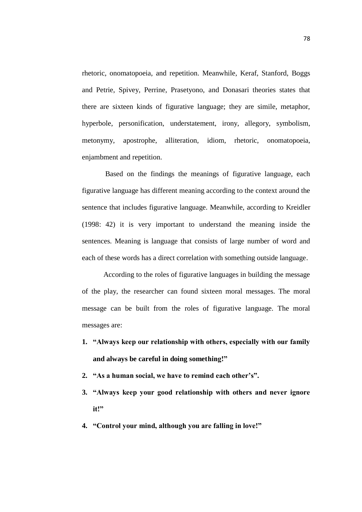rhetoric, onomatopoeia, and repetition. Meanwhile, Keraf, Stanford, Boggs and Petrie, Spivey, Perrine, Prasetyono, and Donasari theories states that there are sixteen kinds of figurative language; they are simile, metaphor, hyperbole, personification, understatement, irony, allegory, symbolism, metonymy, apostrophe, alliteration, idiom, rhetoric, onomatopoeia, enjambment and repetition.

Based on the findings the meanings of figurative language, each figurative language has different meaning according to the context around the sentence that includes figurative language. Meanwhile, according to Kreidler (1998: 42) it is very important to understand the meaning inside the sentences. Meaning is language that consists of large number of word and each of these words has a direct correlation with something outside language.

According to the roles of figurative languages in building the message of the play, the researcher can found sixteen moral messages. The moral message can be built from the roles of figurative language. The moral messages are:

- **1. "Always keep our relationship with others, especially with our family and always be careful in doing something!"**
- **2. "As a human social, we have to remind each other's".**
- **3. "Always keep your good relationship with others and never ignore it!"**
- **4. "Control your mind, although you are falling in love!"**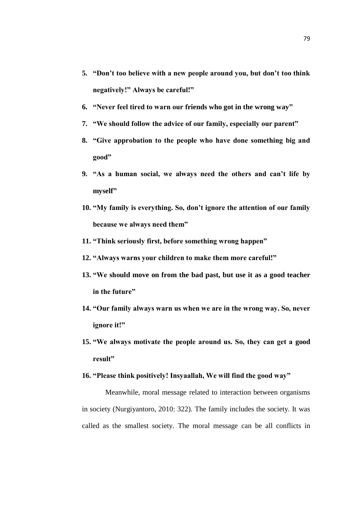- **5. "Don't too believe with a new people around you, but don't too think negatively!" Always be careful!"**
- **6. "Never feel tired to warn our friends who got in the wrong way"**
- **7. "We should follow the advice of our family, especially our parent"**
- **8. "Give approbation to the people who have done something big and good"**
- **9. "As a human social, we always need the others and can't life by myself"**
- **10. "My family is everything. So, don't ignore the attention of our family because we always need them"**
- **11. "Think seriously first, before something wrong happen"**
- **12. "Always warns your children to make them more careful!"**
- **13. "We should move on from the bad past, but use it as a good teacher in the future"**
- **14. "Our family always warn us when we are in the wrong way. So, never ignore it!"**
- **15. "We always motivate the people around us. So, they can get a good result"**

# **16. "Please think positively! Insyaallah, We will find the good way"**

Meanwhile, moral message related to interaction between organisms in society (Nurgiyantoro, 2010: 322). The family includes the society. It was called as the smallest society. The moral message can be all conflicts in